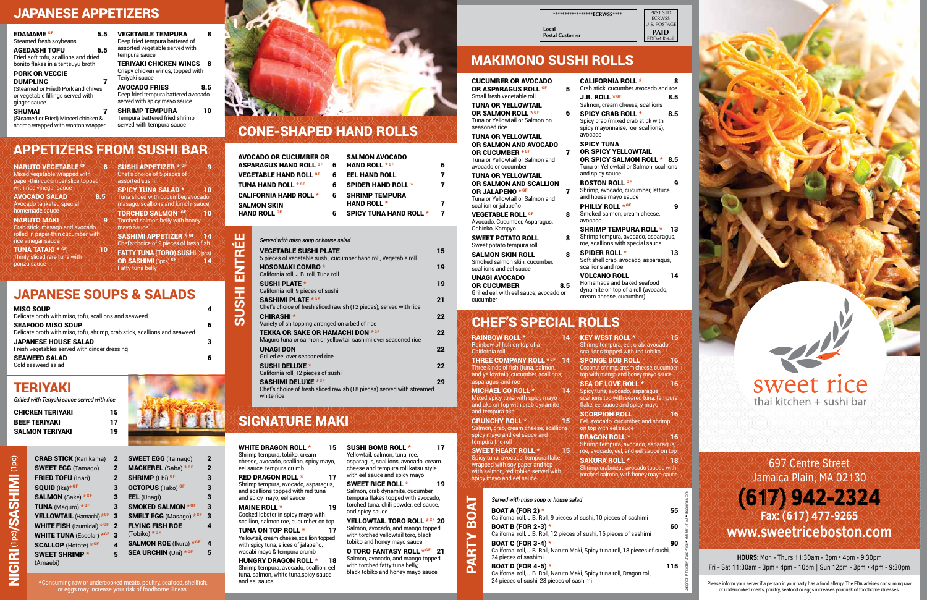## **JAPANESE APPETIZERS**

PRST STD ECRWSS **J.S. POSTAGE PAID** EDDM Retail

| ************* <b>ECRWSS****</b> |
|---------------------------------|
| Local<br><b>Postal Customer</b> |

**NARUTO VEGETABLE GF** Mixed vegetable wrapped with

| <b>EDAMAME GF</b><br>Steamed fresh soybeans                                                | 5.5 | <b>VEGETABLE TEMPURA</b><br>Deep fried tempura battered of                                  | 8   |
|--------------------------------------------------------------------------------------------|-----|---------------------------------------------------------------------------------------------|-----|
| <b>AGEDASHI TOFU</b><br>Fried soft tofu, scallions and dried                               | 6.5 | assorted vegetable served with<br>tempura sauce                                             |     |
| bonito flakes in a tentsuyu broth                                                          |     | TERIYAKI CHICKEN WINGS                                                                      | 8   |
| <b>PORK OR VEGGIE</b>                                                                      |     | Crispy chicken wings, topped with                                                           |     |
| <b>DUMPLING</b>                                                                            |     | Teriyaki sauce                                                                              |     |
| (Steamed or Fried) Pork and chives<br>or vegetable fillings served with<br>ginger sauce    |     | <b>AVOCADO FRIES</b><br>Deep fried tempura battered avocado<br>served with spicy mayo sauce | 8.5 |
| <b>SHUMAI</b><br>(Steamed or Fried) Minced chicken &<br>shrimp wrapped with wonton wrapper |     | <b>SHRIMP TEMPURA</b><br>Tempura battered fried shrimp<br>served with tempura sauce         | 10  |

**8** SUSHI APPETIZER  $*$  GF Chef's choice of 5 pieces of

## APPETIZERS FROM SUSHI BAR

| paper-thin cucumber slice topped                                          | assorted sushi                                                                 |
|---------------------------------------------------------------------------|--------------------------------------------------------------------------------|
| with rice vinegar sauce                                                   | <b>SPICY TUNA SALAD *</b><br>10                                                |
| <b>AVOCADO SALAD</b><br>8.5<br>Avocado tankatsu special<br>homemade sauce | Tuna sliced with cucumber, avocado,<br>masago, scallions and kimchi sauce      |
| <b>NARUTO MAKI</b><br>9                                                   | <b>TORCHED SALMON GF</b><br>10<br>Torched salmon belly with honey              |
| Crab stick, masago and avocado                                            | mayo sauce                                                                     |
| rolled in paper-thin cucumber with<br>rice vinegar sauce                  | <b>SASHIMI APPETIZER * GF</b><br>14<br>Chef's choice of 9 pieces of fresh fish |
| <b>TUNA TATAKI * GF</b><br>10                                             | <b>FATTY TUNA (TORO) SUSHI (3pcs)</b>                                          |
| Thinly sliced rare tuna with<br>ponzu sauce                               | OR SASHIMI (3pcs) GF<br>14<br><b>Fatty tuna belly</b>                          |
| <b>JAPANESE SOUPS &amp; SALADS</b>                                        |                                                                                |
|                                                                           |                                                                                |
| <b>MISO SOUP</b><br>Delicate broth with miso, tofu, scallions and seaweed | 4                                                                              |
| <b>SEAFOOD MISO SOUP</b>                                                  | 6                                                                              |

| Delicate broth with miso, tofu, scallions and seaweed                                                 |   |
|-------------------------------------------------------------------------------------------------------|---|
| <b>SEAFOOD MISO SOUP</b><br>Delicate broth with miso, tofu, shrimp, crab stick, scallions and seaweed | 6 |
| <b>JAPANESE HOUSE SALAD</b><br>Fresh vegetables served with ginger dressing                           | 3 |
| <b>SEAWEED SALAD</b><br>Cold seaweed salad                                                            | 6 |

WHITE DRAGON ROLL \* 15 Shrimp tempura, tobiko, cream cheese, avocado, scallion, spicy mayo, eel sauce, tempura crumb RED DRAGON ROLL \* 17 Shrimp tempura, avocado, asparagus,

and scallions topped with red tuna and spicy mayo, eel sauce MAINE ROLL \* 19

CRAB STICK (Kanikama) 2 SWEET EGG (Tamago) 2 FRIED TOFU (Inari) 2  $SQUID$  (Ika) $*$ GF **SALMON** (Sake)  $*$  GF 3 **TUNA** (Maguro)  $*$ <sup>GF</sup> YELLOWTAIL (Hamachi) \*GF 3 WHITE FISH (Izumidai) \* GF 2 WHITE TUNA (Escolar)  $*$ GF 3 SCALLOP (Hotate) \* GF SWEET SHRIMP \* (Amaebi)

TUNA ON TOP ROLL \* 17 Yellowtail, cream cheese, scallion topped with spicy tuna, slices of jalapeño, wasabi mayo & tempura crumb

HUNGRY DRAGON ROLL \* 18 Shrimp tempura, avocado, scallion, eel, tuna, salmon, white tuna,spicy sauce and eel sauce

SUSHI BOMB ROLL \* 17 Yellowtail, salmon, tuna, roe, asparagus, scallions, avocado, cream cheese and tempura roll katsu style with eel sauce and spicy mayo

| <b>SWEET EGG</b> (Tamago)              | 2            |
|----------------------------------------|--------------|
| MACKEREL (Saba) *GF                    | $\mathbf{2}$ |
| <b>SHRIMP</b> (Ebi) <sup>GF</sup>      | 3            |
| <b>OCTOPUS</b> (Tako) GF               | 3            |
| EEL (Unagi)                            | 3            |
| <b>SMOKED SALMON *GF</b>               | 3            |
| <b>SMELT EGG</b> (Masago) *GF          | 3            |
| <b>FLYING FISH ROE</b><br>(Tobiko) *GF | 4            |
| <b>SALMON ROE</b> (Ikura) *GF          | 4            |
| <b>SEA URCHIN (Uni) *GF</b>            | 5            |
|                                        |              |

SWEET RICE ROLL \* 19 Salmon, crab dynamite, cucumber, tempura flakes topped with avocado, torched tuna, chili powder, eel sauce, and spicy sauce

YELLOWTAIL TORO ROLL \* GF 20 Salmon, avocado, and mango topped with torched yellowtail toro, black tobiko and honey mayo sauce

## TERIYAKI

*Grilled with Teriyaki sauce served with rice*

O TORO FANTASY ROLL \*GF 21 Salmon, avocado, and mango topped with torched fatty tuna belly, black tobiko and honey mayo sauce

| CHICKEN TERIYAKI | 15 |
|------------------|----|
| BEEF TERIYAKI    | 17 |
| SALMON TERIYAKI  | 19 |

\*Consuming raw or undercooked meats, poultry, seafood, shellfish, or eggs may increase your risk of foodborne illness.

## HOSOMAKI COMBO \* 19 California roll, J.B. roll, Tuna roll SUSHI PLATE \* 19 California roll, 9 pieces of sushi SASHIMI PLATE \* GF 21

## CONE-SHAPED HAND ROLLS

| AVOCADO OR CUCUMBER OR                   |   | <b>SALMON AVOCADO</b>         |   |
|------------------------------------------|---|-------------------------------|---|
| ASPARAGUS HAND ROLL <sup>gf</sup>        | 6 | <b>HAND ROLL *GF</b>          | 6 |
| <b>VEGETABLE HAND ROLL <sup>GF</sup></b> | 6 | <b>EEL HAND ROLL</b>          |   |
| <b>TUNA HAND ROLL *GF</b>                | 6 | <b>SPIDER HAND ROLL *</b>     | 7 |
| <b>CALIFORNIA HAND ROLL *</b>            | 6 | <b>SHRIMP TEMPURA</b>         |   |
| SALMON SKIN                              |   | <b>HAND ROLL *</b>            | 7 |
| <b>HAND ROLL <sup>GF</sup></b>           | 6 | <b>SPICY TUNA HAND ROLL *</b> | 7 |

SUSHI ENTRÉE

**IHSUS** 

ENTRI

出

*Served with miso soup or house salad*

5 pieces of vegetable sushi, cucumber hand roll, Vegetable roll

VEGETABLE SUSHI PLATE 15

THREE COMPANY ROLL \*<sup>GF</sup> 14 Three kinds of fish (tuna, salmon, and yellowtail), cucumber, scallions, asparagus, and roe MICHAEL GO ROLL \* 14 Mixed spicy tuna with spicy mayo and ake on top with crab dynamite

SWEET HEART ROLL \* 15 Spicy tuna, avocado, tempura flake,

wrapped with soy paper and top with salmon, red tobiko served with spicy mayo and eel sauce

| Chef's choice of fresh sliced raw sh (12 pieces), served with rice                                               | - - |
|------------------------------------------------------------------------------------------------------------------|-----|
| <b>CHIRASHI</b> *<br>Variety of sh topping arranged on a bed of rice                                             | 22  |
| <b>TEKKA OR SAKE OR HAMACHI DON * GF</b><br>Maguro tuna or salmon or yellowtail sashimi over seasoned rice       | 22  |
| <b>UNAGI DON</b><br>Grilled eel over seasoned rice                                                               | 22  |
| <b>SUSHI DELUXE *</b><br>California roll, 12 pieces of sushi                                                     | 22  |
| <b>SASHIMI DELUXE *GF</b><br>Chef's choice of fresh sliced raw sh (18 pieces) served with streamed<br>white rice | 29  |

# SIGNATURE MAKI

Cooked lobster in spicy mayo with scallion, salmon roe, cucumber on top

# MAKIMONO SUSHI ROLLS

and tempura ake CRUNCHY ROLL \* 15 Salmon, crab, cream cheese, scallions spicy mayo and eel sauce and tempura the roll

Coconut shrimp, cream cheese, cucumber top with mango and honey mayo sauce SEA OF LOVE ROLL \* 16 Spicy tuna, avocado, asparagus, scallions top with seared tuna, tempura flake, eel sauce and spicy mayo **SCORPION ROLL DX 16** Eel, avocado, cucumber, and shrimp

on top with eel sauce DRAGON ROLL \* 16 Shrimp tempura, avocado, asparagus, roe, avocado, eel, and eel sauce on top SAKURA ROLL \* **ANGELIA 18** Shrimp, crabmeat, avocado topped with torched salmon, with honey mayo sauce

PARTY BOAT

PARTY

 $\overline{\mathbf{a}}$ 

**TAO** 

| <b>CUCUMBER OR AVOCADO</b><br>OR ASPARAGUS ROLL GF<br>Small fresh vegetable roll<br><b>TUNA OR YELLOWTAIL</b><br>OR SALMON ROLL *GF<br>Tuna or Yellowtail or Salmon on<br>seasoned rice<br><b>TUNA OR YELLOWTAIL</b> | 5<br>6 | <b>CALIFORNIA ROLL *</b><br>Crab stick, cucumber, avocado and roe<br>J.B. ROLL *GF<br>Salmon, cream cheese, scallions<br><b>SPICY CRAB ROLL *</b><br>Spicy crab (mixed crab stick with<br>spicy mayonnaise, roe, scallions),<br>avocado | 8<br>8.5<br>8.5 |
|----------------------------------------------------------------------------------------------------------------------------------------------------------------------------------------------------------------------|--------|-----------------------------------------------------------------------------------------------------------------------------------------------------------------------------------------------------------------------------------------|-----------------|
| OR SALMON AND AVOCADO<br>OR CUCUMBER * GF<br>Tuna or Yellowtail or Salmon and<br>avocado or cucumber                                                                                                                 | 7      | <b>SPICY TUNA</b><br><b>OR SPICY YELLOWTAIL</b><br>OR SPICY SALMON ROLL * 8.5<br>Tuna or Yellowtail or Salmon, scallions<br>and spicy sauce                                                                                             |                 |
| <b>TUNA OR YELLOWTAIL</b><br>OR SALMON AND SCALLION<br>OR JALAPEÑO * GF<br>Tuna or Yellowtail or Salmon and                                                                                                          | 7      | <b>BOSTON ROLL GF</b><br>Shrimp, avocado, cucumber, lettuce<br>and house mayo sauce                                                                                                                                                     | 9               |
| scallion or jalapeño<br><b>VEGETABLE ROLL GF</b><br>Avocado, Cucumber, Asparagus,                                                                                                                                    | 8      | PHILLY ROLL *GF<br>Smoked salmon, cream cheese,<br>avocado                                                                                                                                                                              | 9               |
| Ochinko, Kampyo<br><b>SWEET POTATO ROLL</b><br>Sweet potato tempura roll                                                                                                                                             | 8      | <b>SHRIMP TEMPURA ROLL *</b><br>Shrimp tempura, avocado, asparagus,<br>roe, scallions with special sauce                                                                                                                                | 13              |
| <b>SALMON SKIN ROLL</b><br>Smoked salmon skin, cucumber,<br>scallions and eel sauce                                                                                                                                  | 8      | <b>SPIDER ROLL *</b><br>Soft shell crab, avocado, asparagus,<br>scallions and roe                                                                                                                                                       | 13              |
| <b>UNAGI AVOCADO</b><br><b>OR CUCUMBER</b><br>8.5<br>Grilled eel, with eel sauce, avocado or<br>cucumber                                                                                                             |        | <b>VOLCANO ROLL</b><br>Homemade and baked seafood<br>dynamite on top of a roll (avocado,<br>cream cheese, cucumber)                                                                                                                     | 14              |
| <b>CHEF'S SPECIAL ROLLS</b>                                                                                                                                                                                          |        |                                                                                                                                                                                                                                         |                 |
| <b>RAINBOW ROLL *</b><br>Rainbow of fish on top of a<br>California roll                                                                                                                                              | 14     | <b>KEY WEST ROLL *</b><br>Shrimp tempura, eel, crab, avocado,<br>scallions topped with red tobiko                                                                                                                                       | 15              |
| <b>THREE COMPANY ROLL *GF</b>                                                                                                                                                                                        | 14     | <b>SPONGE BOB ROLL</b>                                                                                                                                                                                                                  | 16              |

| Served with miso soup or house salad                                                                                                     |     |
|------------------------------------------------------------------------------------------------------------------------------------------|-----|
| BOAT A (FOR 2) *<br>Californai roll, J.B. Roll, 9 pieces of sushi, 10 pieces of sashimi                                                  | 55  |
| <b>BOAT B (FOR 2-3) *</b><br>Californai roll, J.B. Roll, 12 pieces of sushi, 16 pieces of sashimi                                        | 60  |
| <b>BOAT C (FOR 3-4) *</b><br>Californai roll, J.B. Roll, Naruto Maki, Spicy tuna roll, 18 pieces of sushi,<br>24 pieces of sashimi       | 90  |
| BOAT D (FOR 4-5) *<br>Californai roll, J.B. Roll, Naruto Maki, Spicy tuna roll, Dragon roll,<br>24 pieces of sushi, 28 pieces of sashimi | 115 |

# sweet rice thai kitchen + sushi bar



**HOURS:** Mon - Thurs 11:30am - 3pm • 4pm - 9:30pm Fri - Sat 11:30am - 3pm • 4pm - 10pm | Sun 12pm - 3pm • 4pm - 9:30pm

Please inform your server if a person in your party has a food allergy. The FDA advises consuming raw or undercooked meats, poultry, seafood or eggs increases your risk of foodborne illnesses.